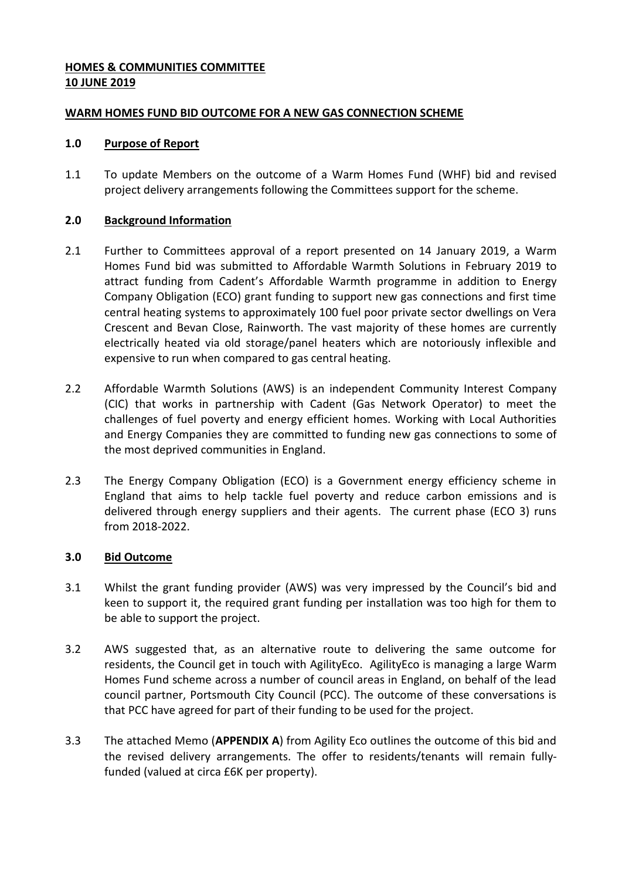### **HOMES & COMMUNITIES COMMITTEE 10 JUNE 2019**

#### **WARM HOMES FUND BID OUTCOME FOR A NEW GAS CONNECTION SCHEME**

### **1.0 Purpose of Report**

1.1 To update Members on the outcome of a Warm Homes Fund (WHF) bid and revised project delivery arrangements following the Committees support for the scheme.

### **2.0 Background Information**

- 2.1 Further to Committees approval of a report presented on 14 January 2019, a Warm Homes Fund bid was submitted to Affordable Warmth Solutions in February 2019 to attract funding from Cadent's Affordable Warmth programme in addition to Energy Company Obligation (ECO) grant funding to support new gas connections and first time central heating systems to approximately 100 fuel poor private sector dwellings on Vera Crescent and Bevan Close, Rainworth. The vast majority of these homes are currently electrically heated via old storage/panel heaters which are notoriously inflexible and expensive to run when compared to gas central heating.
- 2.2 Affordable Warmth Solutions (AWS) is an independent Community Interest Company (CIC) that works in partnership with Cadent (Gas Network Operator) to meet the challenges of fuel poverty and energy efficient homes. Working with Local Authorities and Energy Companies they are committed to funding new gas connections to some of the most deprived communities in England.
- 2.3 The Energy Company Obligation (ECO) is a Government energy efficiency scheme in England that aims to help tackle fuel poverty and reduce carbon emissions and is delivered through energy suppliers and their agents. The current phase (ECO 3) runs from 2018-2022.

### **3.0 Bid Outcome**

- 3.1 Whilst the grant funding provider (AWS) was very impressed by the Council's bid and keen to support it, the required grant funding per installation was too high for them to be able to support the project.
- 3.2 AWS suggested that, as an alternative route to delivering the same outcome for residents, the Council get in touch with AgilityEco. AgilityEco is managing a large Warm Homes Fund scheme across a number of council areas in England, on behalf of the lead council partner, Portsmouth City Council (PCC). The outcome of these conversations is that PCC have agreed for part of their funding to be used for the project.
- 3.3 The attached Memo (**APPENDIX A**) from Agility Eco outlines the outcome of this bid and the revised delivery arrangements. The offer to residents/tenants will remain fullyfunded (valued at circa £6K per property).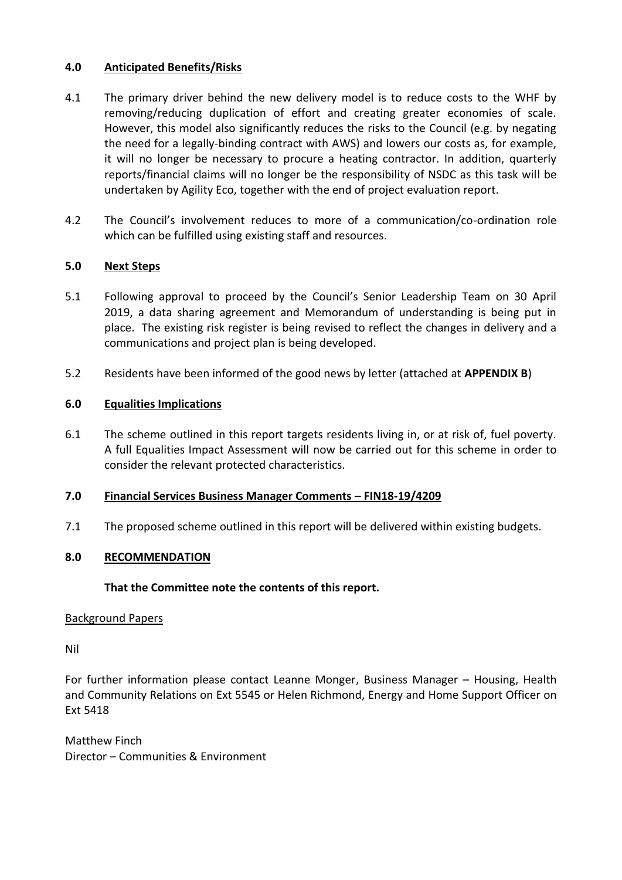#### **4.0 Anticipated Benefits/Risks**

- 4.1 The primary driver behind the new delivery model is to reduce costs to the WHF by removing/reducing duplication of effort and creating greater economies of scale. However, this model also significantly reduces the risks to the Council (e.g. by negating the need for a legally-binding contract with AWS) and lowers our costs as, for example, it will no longer be necessary to procure a heating contractor. In addition, quarterly reports/financial claims will no longer be the responsibility of NSDC as this task will be undertaken by Agility Eco, together with the end of project evaluation report.
- 4.2 The Council's involvement reduces to more of a communication/co-ordination role which can be fulfilled using existing staff and resources.

#### **5.0 Next Steps**

- 5.1 Following approval to proceed by the Council's Senior Leadership Team on 30 April 2019, a data sharing agreement and Memorandum of understanding is being put in place. The existing risk register is being revised to reflect the changes in delivery and a communications and project plan is being developed.
- 5.2 Residents have been informed of the good news by letter (attached at **APPENDIX B**)

#### **6.0 Equalities Implications**

6.1 The scheme outlined in this report targets residents living in, or at risk of, fuel poverty. A full Equalities Impact Assessment will now be carried out for this scheme in order to consider the relevant protected characteristics.

#### **7.0 Financial Services Business Manager Comments – FIN18-19/4209**

7.1 The proposed scheme outlined in this report will be delivered within existing budgets.

#### **8.0 RECOMMENDATION**

#### **That the Committee note the contents of this report.**

#### Background Papers

Nil

For further information please contact Leanne Monger, Business Manager – Housing, Health and Community Relations on Ext 5545 or Helen Richmond, Energy and Home Support Officer on Ext 5418

Matthew Finch Director – Communities & Environment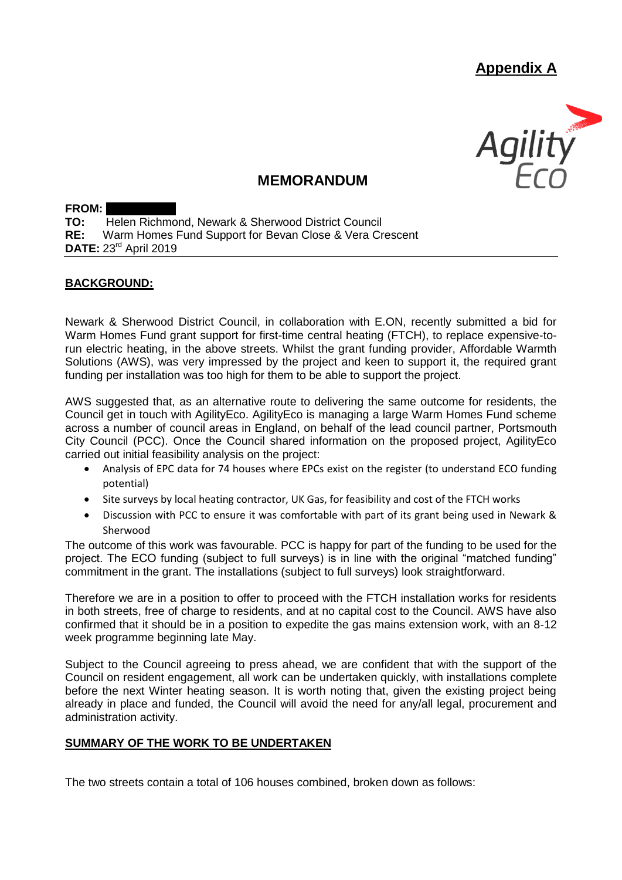# **Appendix A**



## **MEMORANDUM**

**FROM: TO:** Helen Richmond, Newark & Sherwood District Council<br>**RF:** Warm Homes Fund Support for Bevan Close & Vera Cr Warm Homes Fund Support for Bevan Close & Vera Crescent **DATE:** 23rd April 2019

#### **BACKGROUND:**

Newark & Sherwood District Council, in collaboration with E.ON, recently submitted a bid for Warm Homes Fund grant support for first-time central heating (FTCH), to replace expensive-torun electric heating, in the above streets. Whilst the grant funding provider, Affordable Warmth Solutions (AWS), was very impressed by the project and keen to support it, the required grant funding per installation was too high for them to be able to support the project.

AWS suggested that, as an alternative route to delivering the same outcome for residents, the Council get in touch with AgilityEco. AgilityEco is managing a large Warm Homes Fund scheme across a number of council areas in England, on behalf of the lead council partner, Portsmouth City Council (PCC). Once the Council shared information on the proposed project, AgilityEco carried out initial feasibility analysis on the project:

- Analysis of EPC data for 74 houses where EPCs exist on the register (to understand ECO funding potential)
- Site surveys by local heating contractor, UK Gas, for feasibility and cost of the FTCH works
- Discussion with PCC to ensure it was comfortable with part of its grant being used in Newark & Sherwood

The outcome of this work was favourable. PCC is happy for part of the funding to be used for the project. The ECO funding (subject to full surveys) is in line with the original "matched funding" commitment in the grant. The installations (subject to full surveys) look straightforward.

Therefore we are in a position to offer to proceed with the FTCH installation works for residents in both streets, free of charge to residents, and at no capital cost to the Council. AWS have also confirmed that it should be in a position to expedite the gas mains extension work, with an 8-12 week programme beginning late May.

Subject to the Council agreeing to press ahead, we are confident that with the support of the Council on resident engagement, all work can be undertaken quickly, with installations complete before the next Winter heating season. It is worth noting that, given the existing project being already in place and funded, the Council will avoid the need for any/all legal, procurement and administration activity.

#### **SUMMARY OF THE WORK TO BE UNDERTAKEN**

The two streets contain a total of 106 houses combined, broken down as follows: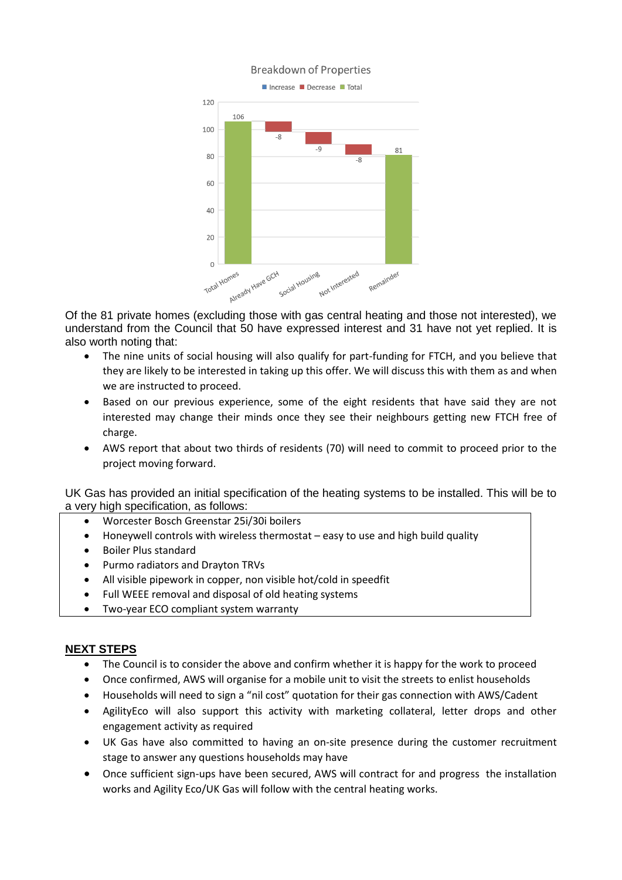

Of the 81 private homes (excluding those with gas central heating and those not interested), we understand from the Council that 50 have expressed interest and 31 have not yet replied. It is also worth noting that:

- The nine units of social housing will also qualify for part-funding for FTCH, and you believe that they are likely to be interested in taking up this offer. We will discuss this with them as and when we are instructed to proceed.
- Based on our previous experience, some of the eight residents that have said they are not interested may change their minds once they see their neighbours getting new FTCH free of charge.
- AWS report that about two thirds of residents (70) will need to commit to proceed prior to the project moving forward.

UK Gas has provided an initial specification of the heating systems to be installed. This will be to a very high specification, as follows:

- Worcester Bosch Greenstar 25i/30i boilers
- Honeywell controls with wireless thermostat easy to use and high build quality
- Boiler Plus standard
- Purmo radiators and Drayton TRVs
- All visible pipework in copper, non visible hot/cold in speedfit
- Full WEEE removal and disposal of old heating systems
- Two-year ECO compliant system warranty

#### **NEXT STEPS**

- The Council is to consider the above and confirm whether it is happy for the work to proceed
- Once confirmed, AWS will organise for a mobile unit to visit the streets to enlist households
- Households will need to sign a "nil cost" quotation for their gas connection with AWS/Cadent
- AgilityEco will also support this activity with marketing collateral, letter drops and other engagement activity as required
- UK Gas have also committed to having an on-site presence during the customer recruitment stage to answer any questions households may have
- Once sufficient sign-ups have been secured, AWS will contract for and progress the installation works and Agility Eco/UK Gas will follow with the central heating works.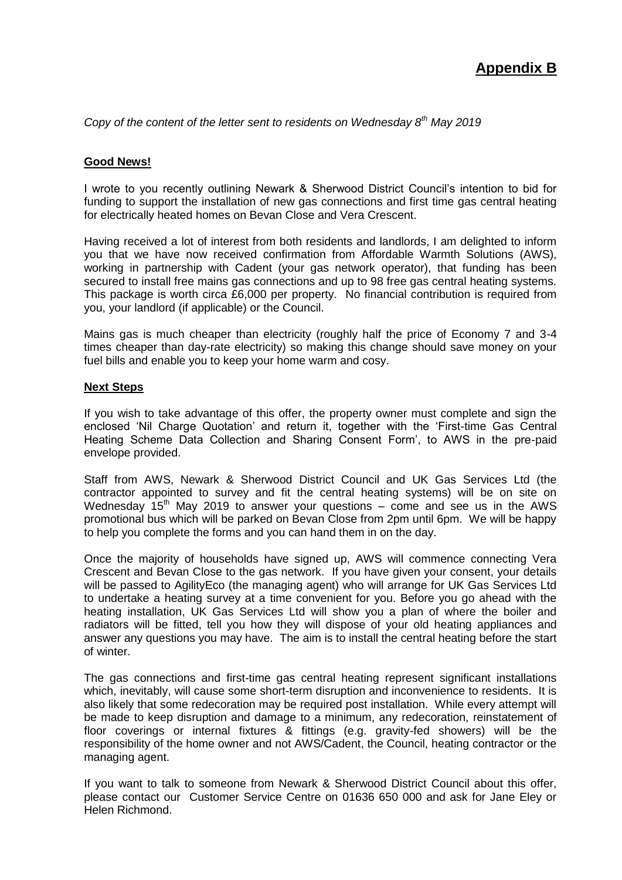*Copy of the content of the letter sent to residents on Wednesday 8th May 2019*

#### **Good News!**

I wrote to you recently outlining Newark & Sherwood District Council's intention to bid for funding to support the installation of new gas connections and first time gas central heating for electrically heated homes on Bevan Close and Vera Crescent.

Having received a lot of interest from both residents and landlords, I am delighted to inform you that we have now received confirmation from Affordable Warmth Solutions (AWS), working in partnership with Cadent (your gas network operator), that funding has been secured to install free mains gas connections and up to 98 free gas central heating systems. This package is worth circa £6,000 per property. No financial contribution is required from you, your landlord (if applicable) or the Council.

Mains gas is much cheaper than electricity (roughly half the price of Economy 7 and 3-4 times cheaper than day-rate electricity) so making this change should save money on your fuel bills and enable you to keep your home warm and cosy.

#### **Next Steps**

If you wish to take advantage of this offer, the property owner must complete and sign the enclosed 'Nil Charge Quotation' and return it, together with the 'First-time Gas Central Heating Scheme Data Collection and Sharing Consent Form', to AWS in the pre-paid envelope provided.

Staff from AWS, Newark & Sherwood District Council and UK Gas Services Ltd (the contractor appointed to survey and fit the central heating systems) will be on site on Wednesday 15<sup>th</sup> May 2019 to answer your questions – come and see us in the AWS promotional bus which will be parked on Bevan Close from 2pm until 6pm. We will be happy to help you complete the forms and you can hand them in on the day.

Once the majority of households have signed up, AWS will commence connecting Vera Crescent and Bevan Close to the gas network. If you have given your consent, your details will be passed to AgilityEco (the managing agent) who will arrange for UK Gas Services Ltd to undertake a heating survey at a time convenient for you. Before you go ahead with the heating installation, UK Gas Services Ltd will show you a plan of where the boiler and radiators will be fitted, tell you how they will dispose of your old heating appliances and answer any questions you may have. The aim is to install the central heating before the start of winter.

The gas connections and first-time gas central heating represent significant installations which, inevitably, will cause some short-term disruption and inconvenience to residents. It is also likely that some redecoration may be required post installation. While every attempt will be made to keep disruption and damage to a minimum, any redecoration, reinstatement of floor coverings or internal fixtures & fittings (e.g. gravity-fed showers) will be the responsibility of the home owner and not AWS/Cadent, the Council, heating contractor or the managing agent.

If you want to talk to someone from Newark & Sherwood District Council about this offer, please contact our Customer Service Centre on 01636 650 000 and ask for Jane Eley or Helen Richmond.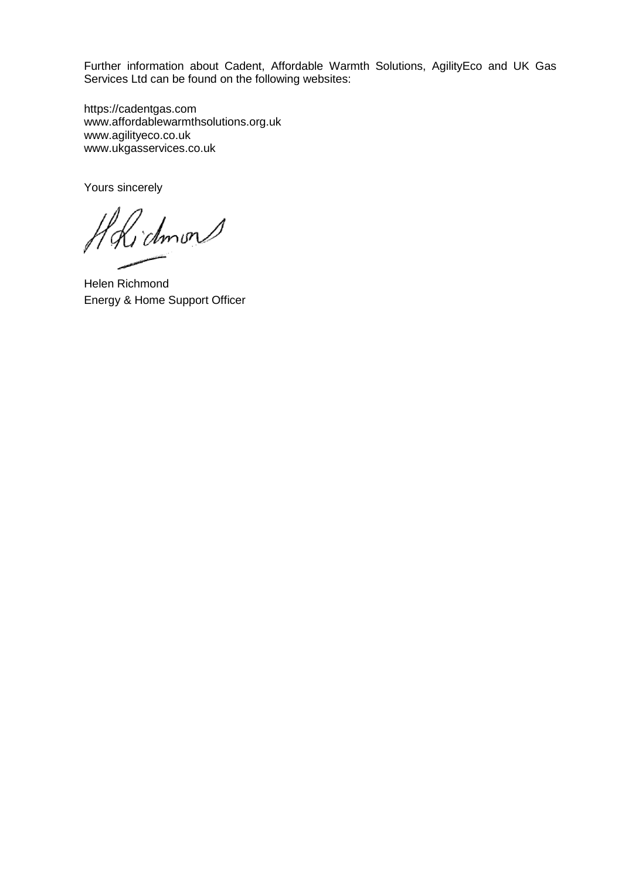Further information about Cadent, Affordable Warmth Solutions, AgilityEco and UK Gas Services Ltd can be found on the following websites:

[https://cadentgas.com](https://cadentgas.com/) [www.affordablewarmthsolutions.org.uk](http://www.affordablewarmthsolutions.org.uk/) www.agilityeco.co.uk www.ukgasservices.co.uk

Yours sincerely

dmon

Helen Richmond Energy & Home Support Officer